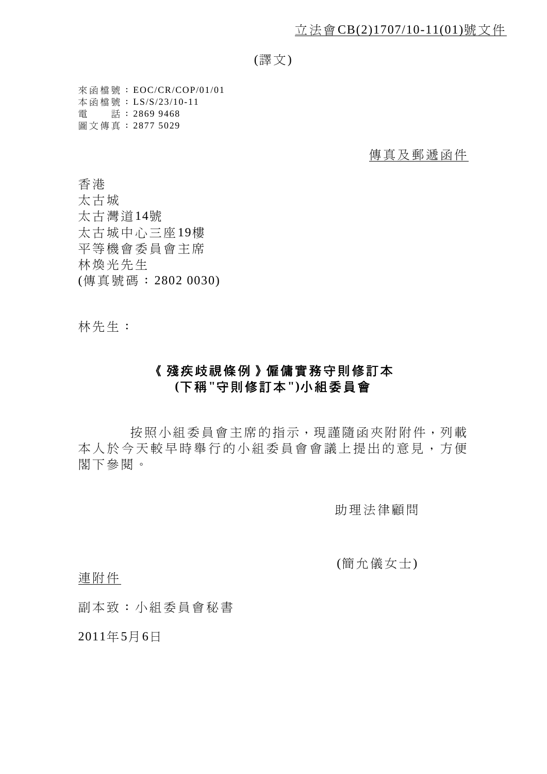(譯文)

來函檔號: EOC/CR/COP/01/01 本函檔號: LS/S/23/10-11 電 話: 2869 9468 圖文傳真: 2877 5029

傳真及郵遞函件

香港

太古城 太古灣道14號 太古城中心三座19樓 平等機會委員會主席 林煥光先生 (傳真號碼:2802 0030)

林先生:

## 《殘疾歧視條例》僱傭實務守則修訂本 **(**下稱**"**守則修訂本**")**小組委員會

按照小組委員會主席的指示,現謹隨函夾附附件,列載 本人於今天較早時舉行的小組委員會會議上提出的意見,方便 閣下參閱。

助理法律顧問

(簡允儀女士)

連附件

副本致:小組委員會秘書

2011年5月6日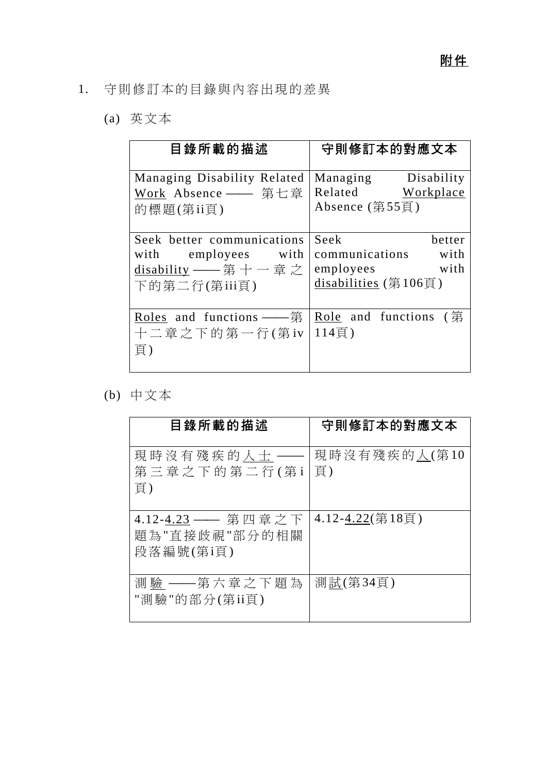- 1. 守則修訂本的目錄與內容出現的差異
	- (a) 英文本

| 目錄所載的描述                                                                                         | 守則修訂本的對應文本                                                                          |
|-------------------------------------------------------------------------------------------------|-------------------------------------------------------------------------------------|
| Managing Disability Related<br>Work Absence —— 第七章<br>的標題(第ii頁)                                 | Managing Disability<br>Related Workplace<br>Absence (第55頁)                          |
| Seek better communications<br>with employees with<br><u>disability</u> —— 第十一章之<br>下的第二行(第iii頁) | Seek<br>better<br>communications with<br>with<br>employees<br>disabilities $(第106)$ |
| Roles and functions $-\equiv$ $\frac{4}{3}$<br>十二章之下的第一行(第iv<br>頁)                              | Role and functions (第<br>114頁)                                                      |

(b) 中文本

| 目錄所載的描述                                          | 守則修訂本的對應文本         |
|--------------------------------------------------|--------------------|
| 現時沒有殘疾的人士<br>第三章之下的第二行(第i<br>頁)                  | 現時沒有殘疾的人(第10<br>頁) |
| 4.12-4.23 —— 第四章之下<br>題為"直接歧視"部分的相關<br>段落編號(第i頁) | 4.12-4.22(第18頁)    |
| 測 驗 ——第六章之下題 為<br>"測驗"的部分(第ii頁)                  | 測試(第34頁)           |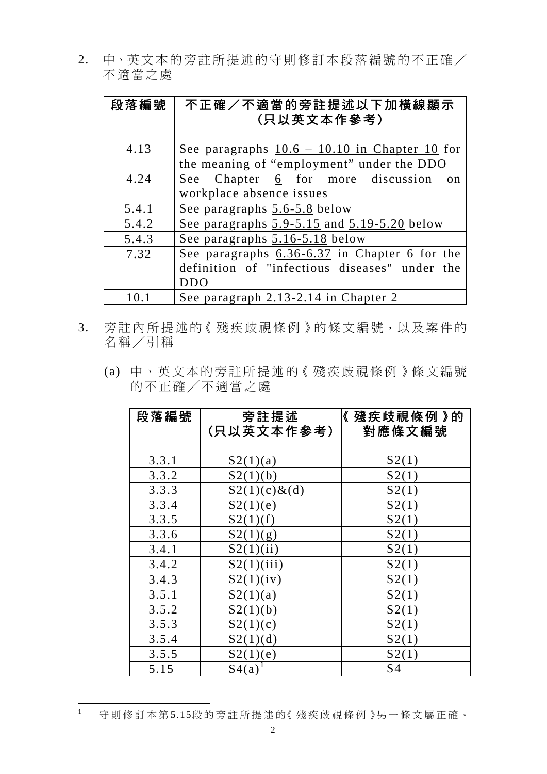2. 中、英文本的旁註所提述的守則修訂本段落編號的不正確/ 不適當之處

| 段落編號  | 不正確/不適當的旁註提述以下加橫線顯示<br>(只以英文本作參考)                   |
|-------|-----------------------------------------------------|
| 4.13  | See paragraphs $10.6 - 10.10$ in Chapter 10 for     |
|       | the meaning of "employment" under the DDO           |
| 4.24  | See Chapter 6 for more discussion<br>$\alpha$ n     |
|       | workplace absence issues                            |
| 5.4.1 | See paragraphs 5.6-5.8 below                        |
| 5.4.2 | See paragraphs $5.9 - 5.15$ and $5.19 - 5.20$ below |
| 5.4.3 | See paragraphs 5.16-5.18 below                      |
| 7.32  | See paragraphs 6.36-6.37 in Chapter 6 for the       |
|       | definition of "infectious diseases" under the       |
|       | <b>DDO</b>                                          |
| 10.   | See paragraph 2.13-2.14 in Chapter 2                |

- 3. 旁註內所提述的《殘疾歧視條例》的條文編號,以及案件的 名稱/引稱
	- (a) 中、英文本的旁註所提述的《殘疾歧視條例》條文編號 的不正確/不適當之處

| 段落編號  | 旁註提述<br>(只以英文本作參考) | 《 殘疾歧視條例 》的<br>對應條文編號 |
|-------|--------------------|-----------------------|
|       |                    |                       |
| 3.3.1 | S2(1)(a)           | S2(1)                 |
| 3.3.2 | S2(1)(b)           | S2(1)                 |
| 3.3.3 | $S2(1)(c) \& d$    | S2(1)                 |
| 3.3.4 | S2(1)(e)           | S2(1)                 |
| 3.3.5 | S2(1)(f)           | S2(1)                 |
| 3.3.6 | S2(1)(g)           | S2(1)                 |
| 3.4.1 | S2(1)(ii)          | S2(1)                 |
| 3.4.2 | S2(1)(iii)         | S2(1)                 |
| 3.4.3 | S2(1)(iv)          | S2(1)                 |
| 3.5.1 | S2(1)(a)           | S2(1)                 |
| 3.5.2 | S2(1)(b)           | S2(1)                 |
| 3.5.3 | S2(1)(c)           | S2(1)                 |
| 3.5.4 | S2(1)(d)           | S2(1)                 |
| 3.5.5 | S2(1)(e)           | S2(1)                 |
| 5.15  | S4(a)              | S <sub>4</sub>        |

 $\overline{1}$ 守則修訂本第5.15段的旁註所提述的《 殘疾歧視條例 》另一條文屬正確。